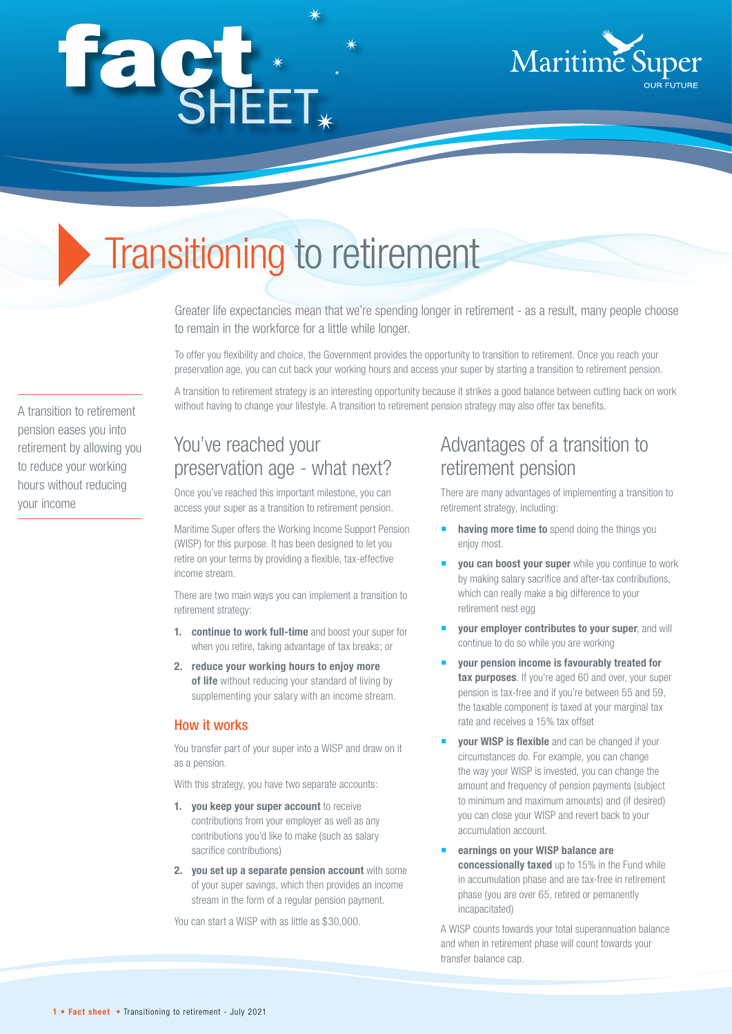# façt\*



# Transitioning to retirement

Greater life expectancies mean that we're spending longer in retirement - as a result, many people choose to remain in the workforce for a little while longer.

To offer you flexibility and choice, the Government provides the opportunity to transition to retirement. Once you reach your preservation age, you can cut back your working hours and access your super by starting a transition to retirement pension.

A transition to retirement strategy is an interesting opportunity because it strikes a good balance between cutting back on work without having to change your lifestyle. A transition to retirement pension strategy may also offer tax benefits.

You've reached your preservation age - what next?

Once you've reached this important milestone, you can access your super as a transition to retirement pension.

Maritime Super offers the Working Income Support Pension (WISP) for this purpose. It has been designed to let you retire on your terms by providing a flexible, tax-effective income stream.

There are two main ways you can implement a transition to retirement strategy:

- **1. continue to work full-time** and boost your super for when you retire, taking advantage of tax breaks; or
- **2. reduce your working hours to enjoy more of life** without reducing your standard of living by supplementing your salary with an income stream.

#### How it works

You transfer part of your super into a WISP and draw on it as a pension.

With this strategy, you have two separate accounts:

- **1. you keep your super account** to receive contributions from your employer as well as any contributions you'd like to make (such as salary sacrifice contributions)
- **2. you set up a separate pension account** with some of your super savings, which then provides an income stream in the form of a regular pension payment.

You can start a WISP with as little as \$30,000.

# Advantages of a transition to retirement pension

There are many advantages of implementing a transition to retirement strategy, including:

- **having more time to** spend doing the things you enjoy most.
- **you can boost your super** while you continue to work by making salary sacrifice and after-tax contributions, which can really make a big difference to your retirement nest egg
- **your employer contributes to your super**, and will continue to do so while you are working
- **your pension income is favourably treated for tax purposes**. If you're aged 60 and over, your super pension is tax-free and if you're between 55 and 59, the taxable component is taxed at your marginal tax rate and receives a 15% tax offset
- **your WISP is flexible** and can be changed if your circumstances do. For example, you can change the way your WISP is invested, you can change the amount and frequency of pension payments (subject to minimum and maximum amounts) and (if desired) you can close your WISP and revert back to your accumulation account.
- **earnings on your WISP balance are concessionally taxed** up to 15% in the Fund while in accumulation phase and are tax-free in retirement phase (you are over 65, retired or pemanently incapacitated)

A WISP counts towards your total superannuation balance and when in retirement phase will count towards your transfer balance cap.

A transition to retirement pension eases you into retirement by allowing you to reduce your working hours without reducing your income